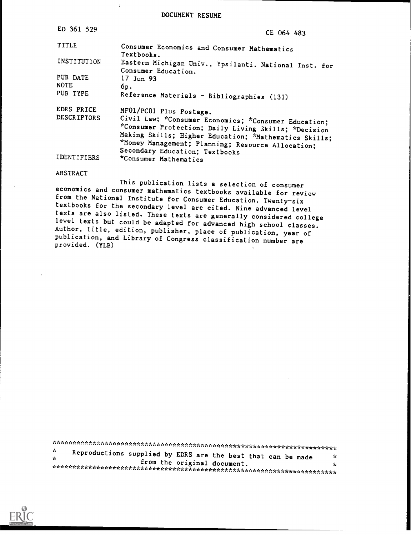DOCUMENT RESUME

 $\ddot{\phantom{a}}$ 

| ED 361 529              | CE 064 483                                                                                                                                                                                                                 |
|-------------------------|----------------------------------------------------------------------------------------------------------------------------------------------------------------------------------------------------------------------------|
| TITLE.                  | Consumer Economics and Consumer Mathematics<br>Textbooks.                                                                                                                                                                  |
| INSTITUTION             | Eastern Michigan Univ., Ypsilanti. National Inst. for<br>Consumer Education.                                                                                                                                               |
| PUB DATE<br><b>NOTE</b> | $17$ Jun 93<br>6p.                                                                                                                                                                                                         |
| PUB TYPE                | Reference Materials - Bibliographies (131)                                                                                                                                                                                 |
| EDRS PRICE              | MF01/PC01 Plus Postage.                                                                                                                                                                                                    |
| <b>DESCRIPTORS</b>      | Civil Law; *Consumer Economics; *Consumer Education;<br>*Consumer Protection; Daily Living Skills; *Decision<br>Making Skills; Higher Education; *Mathematics Skills;<br>*Money Management; Planning; Resource Allocation; |
| <b>IDENTIFIERS</b>      | Secondary Education; Textbooks<br>*Consumer Mathematics                                                                                                                                                                    |

#### **ABSTRACT**

This publication lists a selection of consumer economics and consumer mathematics textbooks available for review from the National Institute for Consumer Education. Twenty-six textbooks for the secondary level are cited. Nine advanced level texts are also listed. These texts are generally considered college level texts but could be adapted for advanced high school classes. Author, title, edition, publisher, place of publication, year of publication, and Library of Congress classification number are provided. (YLB)

 $\mathbf{r}$ Reproductions supplied by EDRS are the best that can be made  $\Lambda$  $\mathbf{y}_\mathrm{f}$ from the original document.  $\star$ 

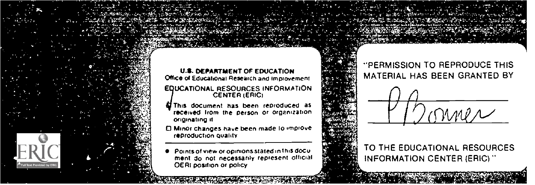

#### **U.S. DEPARTMENT OF EDUCATION** Office of Educational Research and Improvement EDUCATIONAL RESOURCES INFORMATION CENTER (ERIC)

- El This document has been reproduced as received from the person or organization. originating it
- El Minor changes have been made to improve reproduction quality
- Points of view or opinions stated in this document do not necessarily represent official OERI position or policy

"PERMISSION TO REPRODUCE THIS MATERIAL HAS BEEN GRANTED BY



TO THE EDUCATIONAL RESOURCES **INFORMATION CENTER (ERIC)**"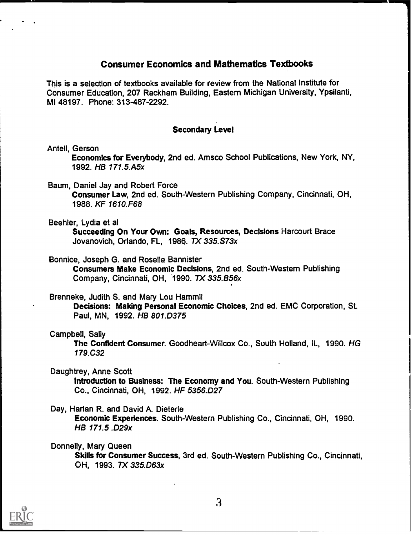# Consumer Economics and Mathematics Textbooks

This is a selection of textbooks available for review from the National Institute for Consumer Education, 207 Rackham Building, Eastern Michigan University, Ypsilanti, MI 48197. Phone: 313-487-2292.

## Secondary Level

## Antell, Gerson

Economics for Everybody, 2nd ed. Amsco School Publications, New York, NY, 1992. HB 171.5.A5x

Baum, Daniel Jay and Robert Force

Consumer Law, 2nd ed. South-Western Publishing Company, Cincinnati, OH, 1988. KF 1610.F68

## Beehler, Lydia et al

Succeeding On Your Own: Goals, Resources, Decisions Harcourt Brace Jovanovich, Orlando, FL, 1986. TX 335.S73x

## Bonnice, Joseph G. and Rosella Bannister

Consumers Make Economic Decisions, 2nd ed. South-Western Publishing Company, Cincinnati, OH, 1990. TX 335.B56x

## Brenneke, Judith S. and Mary Lou Hammil

Decisions: Making Personal Economic Choices, 2nd ed. EMC Corporation, St. Paul, MN, 1992. HB 801.D375

## Campbell, Sally

The Confident Consumer. Goodheart-Willcox Co., Suuth Holland, IL, 1990. HG 179.C32

## Daughtrey, Anne Scott

Introduction to Business: The Economy and You. South-Western Publishing Co., Cincinnati, OH, 1992. HF 5356.D27

## Day, Harlan R. and David A. Dieterle

Economic Experiences. South-Western Publishing Co., Cincinnati, OH, 1990. HB 171.5 .D29x

## Donnelly, Mary Queen Skills for Consumer Success, 3rd ed. South-Western Publishing Co., Cincinnati, OH, 1993. TX 335.063x

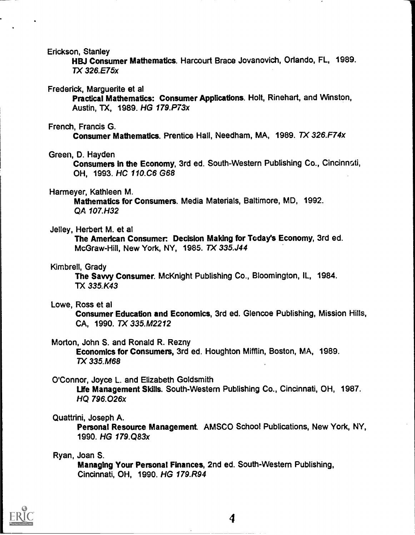Erickson, Stanley

HBJ Consumer Mathematics. Harcourt Brace Jovanovich, Orlando, FL, 1989. 7X 326.E75x

#### Frederick, Marguerite et al

Practical Mathematics: Consumer Applications. Holt, Rinehart, and Winston, Austin, TX, 1989. HG 179.P73x

#### French, Francis G.

Consumer Mathematics. Prentice Hall, Needham, MA, 1989. TX 326.F74x

#### Green, D. Hayden

Consumers in the Economy, 3rd ed. South-Western Publishing Co., Cincinnati, OH, 1993. HC 110.C6 G68

#### Harmeyer, Kathleen M.

Mathematics for Consumers. Media Materials, Baltimore, MD, 1992. QA 107.H32

#### Jelley, Herbert M. et al

The American Consumer: Decision Making for Today's Economy, 3rd ed. McGraw-Hill, New York, NY, 1985. TX 335.J44

## Kimbrell, Grady

The Savvy Consumer. McKnight Publishing Co., Bloomington, IL, 1984. TX 335.K43

#### Lowe, Ross et al

Consumer Education and Economics, 3rd ed. Glencoe Publishing, Mission Hills, CA, 1990. TX 335.M2212

## Morton, John S. and Ronald R. Rezny

Economics for Consumers, 3rd ed. Houghton Mifflin, Boston, MA, 1989. 7X 335.M68

#### O'Connor, Joyce L. and Elizabeth Goldsmith

Life Management Skills. South-Western Publishing Co., Cincinnati, OH, 1987. HQ 796.026x

#### Quattrini, Joseph A.

Personal Resource Management AMSCO School Publications, New York, NY, 1990. HG 179.Q83x

#### Ryan, Joan S.

Managing Your Personal Finances, 2nd ed. South-Western Publishing, Cincinnati, OH, 1990. HG 179.R94



4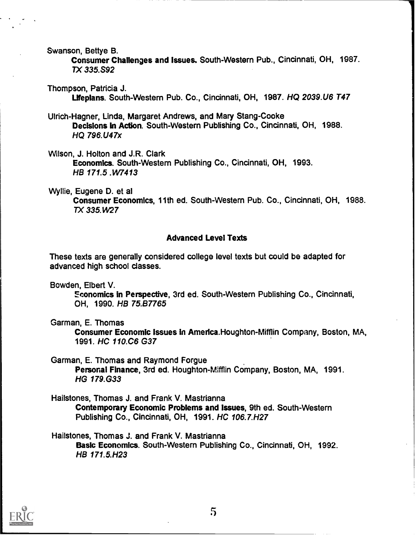Swanson, Bettye B.

Consumer Challenges and Issues. South-Western Pub., Cincinnati, OH, 1987. TX 335.S92

Thompson, Patricia J. Lifeplans. South-Western Pub. Co., Cincinnati, OH, 1987. HQ 2039.U6 T47

Ulrich-Hagner, Linda, Margaret Andrews, and Mary Stang-Cooke Decisions in Action. South-Western Publishing Co., Cincinnati, OH, 1988. HQ 796.U47x

Wilson, J. Holton and J.R. Clark Economics. South-Western Publishing Co., Cincinnati, OH, 1993. HB 171.5 .W7413

Wyllie, Eugene D. et al Consumer Economics, 11th ed. South-Western Pub. Co., Cincinnati, OH, 1988. TX 335.W27

#### Advanced Level Texts

These texts are generally considered college level texts but could be adapted for advanced high school classes.

Bowden, Elbert V.

Economics in Perspective, 3rd ed. South-Western Publishing Co., Cincinnati, OH, 1990. HB 75.B7765

Garman, E. Thomas

Consumer Economic Issues in Amedca.Houghton-Mifflin Company, Boston, MA, 1991. HC 110.C6 G37

Garman, E. Thomas and Raymond Forgue Personal Finance, 3rd ed. Houghton-Mifflin Company, Boston, MA, 1991. HG 179.G33

Hailstones, Thomas J. and Frank V. Mastrianna Contemporary Economic Problems and Issues, 9th ed. South-Western Publishing Co., Cincinnati, OH, 1991. HC 106.7.H27

Hailstones, Thomas J. and Frank V. Mastrianna Basic Economics. South-Western Publishing Co., Cincinnati, OH, 1992. HB 171.5.H23



5